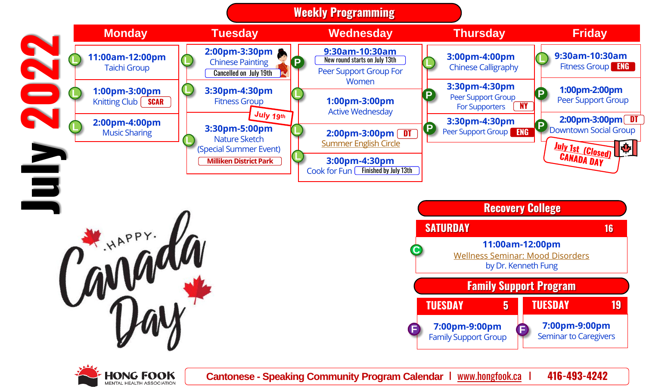







**Cantonese - Speaking Community Program Calendar** I www.hongfook.ca I **416-493-4242**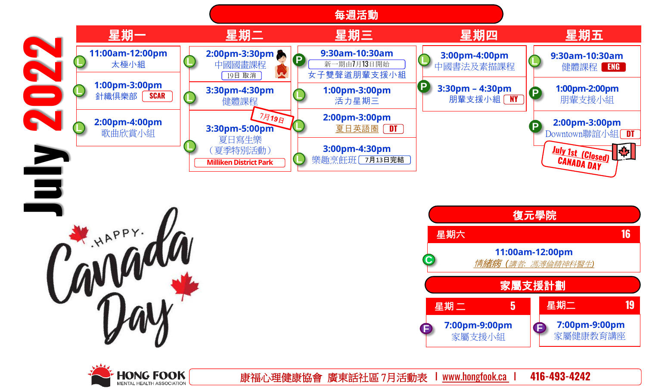



*MENTAL HEALTH ASSOCIATION* 



康福心理健康協會 廣東話社區 7月活動表 I www.hongfook.ca I **416-493-4242**